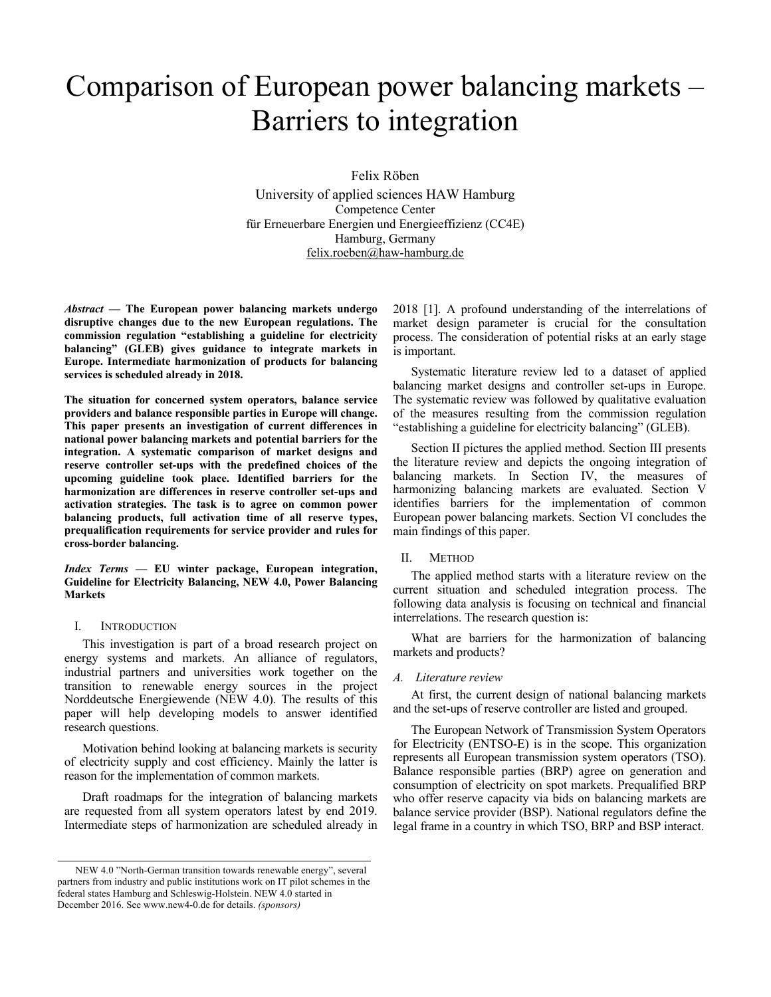# Comparison of European power balancing markets – Barriers to integration

Felix Röben

University of applied sciences HAW Hamburg Competence Center für Erneuerbare Energien und Energieeffizienz (CC4E) Hamburg, Germany felix.roeben@haw-hamburg.de

*Abstract* **— The European power balancing markets undergo disruptive changes due to the new European regulations. The commission regulation "establishing a guideline for electricity balancing" (GLEB) gives guidance to integrate markets in Europe. Intermediate harmonization of products for balancing services is scheduled already in 2018.** 

**The situation for concerned system operators, balance service providers and balance responsible parties in Europe will change. This paper presents an investigation of current differences in national power balancing markets and potential barriers for the integration. A systematic comparison of market designs and reserve controller set-ups with the predefined choices of the upcoming guideline took place. Identified barriers for the harmonization are differences in reserve controller set-ups and activation strategies. The task is to agree on common power balancing products, full activation time of all reserve types, prequalification requirements for service provider and rules for cross-border balancing.**

*Index Terms* **— EU winter package, European integration, Guideline for Electricity Balancing, NEW 4.0, Power Balancing Markets**

## I. INTRODUCTION

This investigation is part of a broad research project on energy systems and markets. An alliance of regulators, industrial partners and universities work together on the transition to renewable energy sources in the project Norddeutsche Energiewende (NEW 4.0). The results of this paper will help developing models to answer identified research questions.

Motivation behind looking at balancing markets is security of electricity supply and cost efficiency. Mainly the latter is reason for the implementation of common markets.

Draft roadmaps for the integration of balancing markets are requested from all system operators latest by end 2019. Intermediate steps of harmonization are scheduled already in 2018 [1]. A profound understanding of the interrelations of market design parameter is crucial for the consultation process. The consideration of potential risks at an early stage is important.

Systematic literature review led to a dataset of applied balancing market designs and controller set-ups in Europe. The systematic review was followed by qualitative evaluation of the measures resulting from the commission regulation "establishing a guideline for electricity balancing" (GLEB).

Section II pictures the applied method. Section III presents the literature review and depicts the ongoing integration of balancing markets. In Section IV, the measures of harmonizing balancing markets are evaluated. Section V identifies barriers for the implementation of common European power balancing markets. Section VI concludes the main findings of this paper.

II. METHOD

The applied method starts with a literature review on the current situation and scheduled integration process. The following data analysis is focusing on technical and financial interrelations. The research question is:

What are barriers for the harmonization of balancing markets and products?

## *A. Literature review*

At first, the current design of national balancing markets and the set-ups of reserve controller are listed and grouped.

The European Network of Transmission System Operators for Electricity (ENTSO-E) is in the scope. This organization represents all European transmission system operators (TSO). Balance responsible parties (BRP) agree on generation and consumption of electricity on spot markets. Prequalified BRP who offer reserve capacity via bids on balancing markets are balance service provider (BSP). National regulators define the legal frame in a country in which TSO, BRP and BSP interact.

NEW 4.0 "North-German transition towards renewable energy", several partners from industry and public institutions work on IT pilot schemes in the federal states Hamburg and Schleswig-Holstein. NEW 4.0 started in December 2016. See www.new4-0.de for details. *(sponsors)*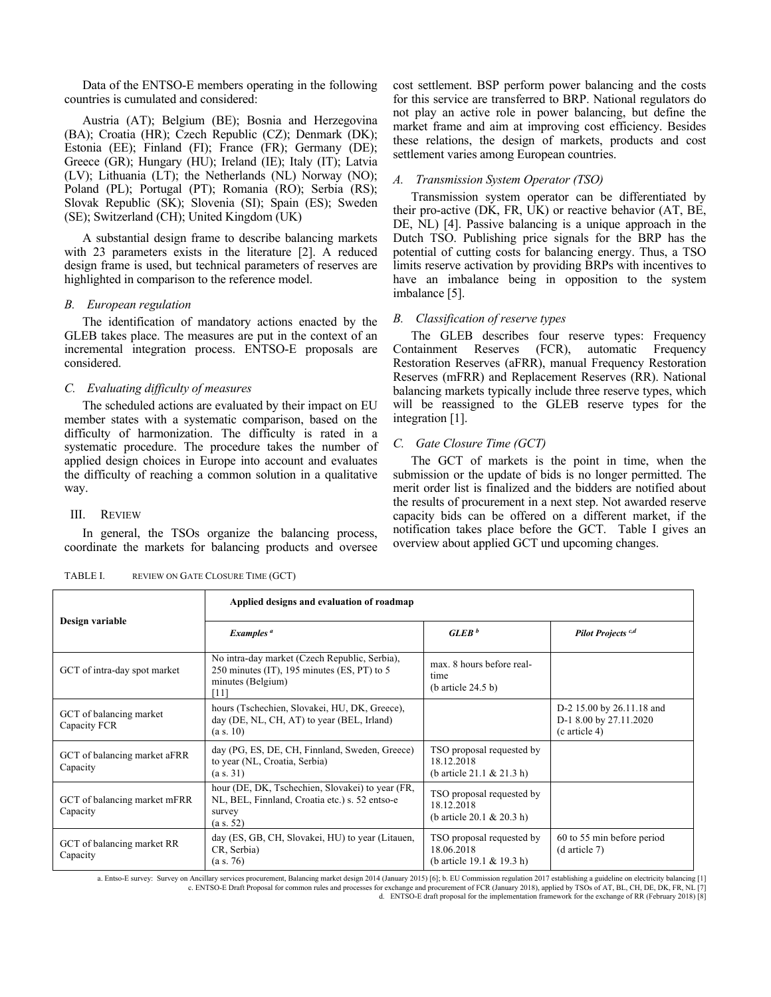Data of the ENTSO-E members operating in the following countries is cumulated and considered:

Austria (AT); Belgium (BE); Bosnia and Herzegovina (BA); Croatia (HR); Czech Republic (CZ); Denmark (DK); Estonia (EE); Finland (FI); France (FR); Germany (DE); Greece (GR); Hungary (HU); Ireland (IE); Italy (IT); Latvia (LV); Lithuania (LT); the Netherlands (NL) Norway (NO); Poland (PL); Portugal (PT); Romania (RO); Serbia (RS); Slovak Republic (SK); Slovenia (SI); Spain (ES); Sweden (SE); Switzerland (CH); United Kingdom (UK)

A substantial design frame to describe balancing markets with 23 parameters exists in the literature [2]. A reduced design frame is used, but technical parameters of reserves are highlighted in comparison to the reference model.

# *B. European regulation*

The identification of mandatory actions enacted by the GLEB takes place. The measures are put in the context of an incremental integration process. ENTSO-E proposals are considered.

# *C. Evaluating difficulty of measures*

The scheduled actions are evaluated by their impact on EU member states with a systematic comparison, based on the difficulty of harmonization. The difficulty is rated in a systematic procedure. The procedure takes the number of applied design choices in Europe into account and evaluates the difficulty of reaching a common solution in a qualitative way.

# III. REVIEW

In general, the TSOs organize the balancing process, coordinate the markets for balancing products and oversee cost settlement. BSP perform power balancing and the costs for this service are transferred to BRP. National regulators do not play an active role in power balancing, but define the market frame and aim at improving cost efficiency. Besides these relations, the design of markets, products and cost settlement varies among European countries.

# *A. Transmission System Operator (TSO)*

Transmission system operator can be differentiated by their pro-active (DK, FR, UK) or reactive behavior (AT, BE, DE, NL) [4]. Passive balancing is a unique approach in the Dutch TSO. Publishing price signals for the BRP has the potential of cutting costs for balancing energy. Thus, a TSO limits reserve activation by providing BRPs with incentives to have an imbalance being in opposition to the system imbalance [5].

# *B. Classification of reserve types*

The GLEB describes four reserve types: Frequency Containment Reserves (FCR), automatic Frequency Restoration Reserves (aFRR), manual Frequency Restoration Reserves (mFRR) and Replacement Reserves (RR). National balancing markets typically include three reserve types, which will be reassigned to the GLEB reserve types for the integration [1].

# *C. Gate Closure Time (GCT)*

The GCT of markets is the point in time, when the submission or the update of bids is no longer permitted. The merit order list is finalized and the bidders are notified about the results of procurement in a next step. Not awarded reserve capacity bids can be offered on a different market, if the notification takes place before the GCT. Table I gives an overview about applied GCT und upcoming changes.

|                                          | Applied designs and evaluation of roadmap                                                                                 |                                                                      |                                                                                 |  |
|------------------------------------------|---------------------------------------------------------------------------------------------------------------------------|----------------------------------------------------------------------|---------------------------------------------------------------------------------|--|
| Design variable                          | Examples <sup>a</sup>                                                                                                     | GLEB <sup>b</sup>                                                    | Pilot Projects <sup>c,d</sup>                                                   |  |
| GCT of intra-day spot market             | No intra-day market (Czech Republic, Serbia),<br>250 minutes (IT), 195 minutes (ES, PT) to 5<br>minutes (Belgium)<br>[11] | max. 8 hours before real-<br>time<br>(b article $24.5 b$ )           |                                                                                 |  |
| GCT of balancing market<br>Capacity FCR  | hours (Tschechien, Slovakei, HU, DK, Greece),<br>day (DE, NL, CH, AT) to year (BEL, Irland)<br>(a s. 10)                  |                                                                      | D-2 15.00 by 26.11.18 and<br>D-1 8.00 by 27.11.2020<br>$(c \text{ article } 4)$ |  |
| GCT of balancing market aFRR<br>Capacity | day (PG, ES, DE, CH, Finnland, Sweden, Greece)<br>to year (NL, Croatia, Serbia)<br>(a s. 31)                              | TSO proposal requested by<br>18.12.2018<br>(b article 21.1 & 21.3 h) |                                                                                 |  |
| GCT of balancing market mFRR<br>Capacity | hour (DE, DK, Tschechien, Slovakei) to year (FR,<br>NL, BEL, Finnland, Croatia etc.) s. 52 entso-e<br>survey<br>(a s. 52) | TSO proposal requested by<br>18.12.2018<br>(b article 20.1 & 20.3 h) |                                                                                 |  |
| GCT of balancing market RR<br>Capacity   | day (ES, GB, CH, Slovakei, HU) to year (Litauen,<br>CR, Serbia)<br>(a s. 76)                                              | TSO proposal requested by<br>18.06.2018<br>(b article 19.1 & 19.3 h) | 60 to 55 min before period<br>$(d \text{ article } 7)$                          |  |

TABLE I. REVIEW ON GATE CLOSURE TIME (GCT)

a. Entso-E survey: Survey on Ancillary services procurement, Balancing market design 2014 (January 2015) [6]; b. EU Commission regulation 2017 establishing a guideline on electricity balancing [1] c. ENTSO-E Draft Proposal for common rules and processes for exchange and procurement of FCR (January 2018), applied by TSOs of AT, BL, CH, DE, DK, FR, NL [7]

d. ENTSO-E draft proposal for the implementation framework for the exchange of RR (February 2018) [8]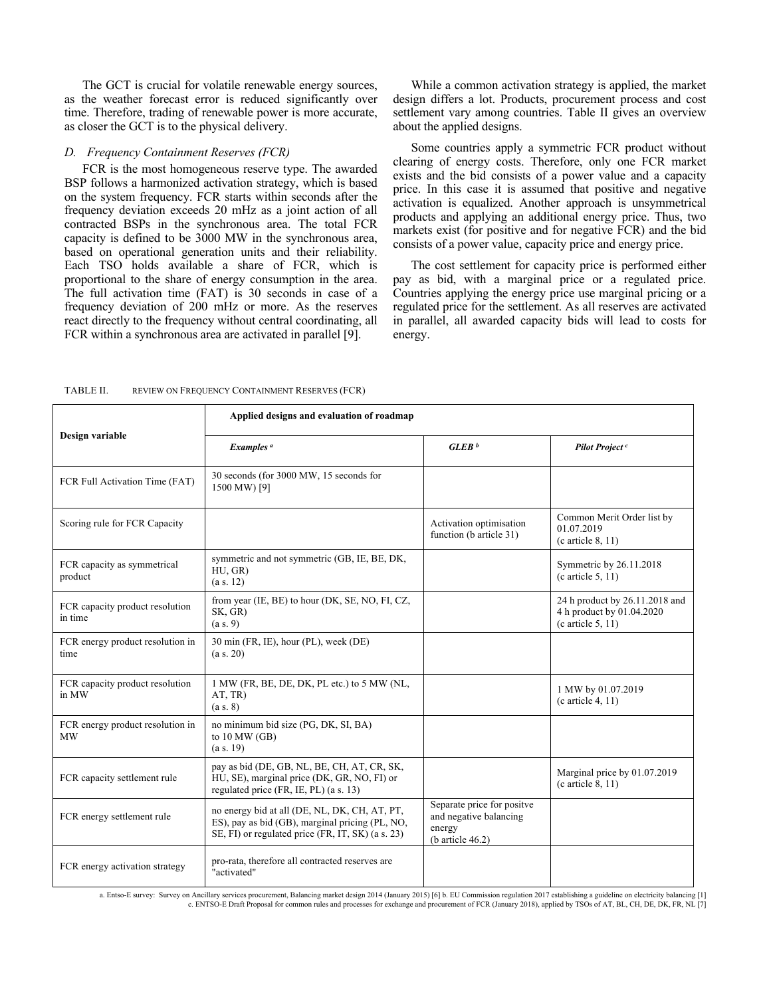The GCT is crucial for volatile renewable energy sources, as the weather forecast error is reduced significantly over time. Therefore, trading of renewable power is more accurate, as closer the GCT is to the physical delivery.

## *D. Frequency Containment Reserves (FCR)*

FCR is the most homogeneous reserve type. The awarded BSP follows a harmonized activation strategy, which is based on the system frequency. FCR starts within seconds after the frequency deviation exceeds 20 mHz as a joint action of all contracted BSPs in the synchronous area. The total FCR capacity is defined to be 3000 MW in the synchronous area, based on operational generation units and their reliability. Each TSO holds available a share of FCR, which is proportional to the share of energy consumption in the area. The full activation time (FAT) is 30 seconds in case of a frequency deviation of 200 mHz or more. As the reserves react directly to the frequency without central coordinating, all FCR within a synchronous area are activated in parallel [9].

While a common activation strategy is applied, the market design differs a lot. Products, procurement process and cost settlement vary among countries. Table II gives an overview about the applied designs.

Some countries apply a symmetric FCR product without clearing of energy costs. Therefore, only one FCR market exists and the bid consists of a power value and a capacity price. In this case it is assumed that positive and negative activation is equalized. Another approach is unsymmetrical products and applying an additional energy price. Thus, two markets exist (for positive and for negative FCR) and the bid consists of a power value, capacity price and energy price.

The cost settlement for capacity price is performed either pay as bid, with a marginal price or a regulated price. Countries applying the energy price use marginal pricing or a regulated price for the settlement. As all reserves are activated in parallel, all awarded capacity bids will lead to costs for energy.

|                                            | Applied designs and evaluation of roadmap                                                                                                             |                                                                                       |                                                                                    |  |
|--------------------------------------------|-------------------------------------------------------------------------------------------------------------------------------------------------------|---------------------------------------------------------------------------------------|------------------------------------------------------------------------------------|--|
| Design variable                            | Examples <sup>a</sup>                                                                                                                                 | GLEB <sup>b</sup>                                                                     | Pilot Project <sup>c</sup>                                                         |  |
| FCR Full Activation Time (FAT)             | 30 seconds (for 3000 MW, 15 seconds for<br>1500 MW) [9]                                                                                               |                                                                                       |                                                                                    |  |
| Scoring rule for FCR Capacity              |                                                                                                                                                       | Activation optimisation<br>function (b article 31)                                    | Common Merit Order list by<br>01.07.2019<br>$(c \text{ article } 8, 11)$           |  |
| FCR capacity as symmetrical<br>product     | symmetric and not symmetric (GB, IE, BE, DK,<br>HU, GR<br>(a s. 12)                                                                                   |                                                                                       | Symmetric by 26.11.2018<br>$(c$ article 5, 11)                                     |  |
| FCR capacity product resolution<br>in time | from year (IE, BE) to hour (DK, SE, NO, FI, CZ,<br>SK, GR)<br>(a s. 9)                                                                                |                                                                                       | 24 h product by 26.11.2018 and<br>4 h product by 01.04.2020<br>$(c$ article 5, 11) |  |
| FCR energy product resolution in<br>time   | 30 min (FR, IE), hour (PL), week (DE)<br>(a s. 20)                                                                                                    |                                                                                       |                                                                                    |  |
| FCR capacity product resolution<br>in MW   | 1 MW (FR, BE, DE, DK, PL etc.) to 5 MW (NL,<br>AT, TR)<br>(a s. 8)                                                                                    |                                                                                       | 1 MW by 01.07.2019<br>$(c$ article 4, 11)                                          |  |
| FCR energy product resolution in<br>MW     | no minimum bid size (PG, DK, SI, BA)<br>to $10$ MW (GB)<br>(a s. 19)                                                                                  |                                                                                       |                                                                                    |  |
| FCR capacity settlement rule               | pay as bid (DE, GB, NL, BE, CH, AT, CR, SK,<br>HU, SE), marginal price (DK, GR, NO, FI) or<br>regulated price (FR, IE, PL) (a s. 13)                  |                                                                                       | Marginal price by 01.07.2019<br>$(c \text{ article } 8, 11)$                       |  |
| FCR energy settlement rule                 | no energy bid at all (DE, NL, DK, CH, AT, PT,<br>ES), pay as bid (GB), marginal pricing (PL, NO,<br>SE, FI) or regulated price (FR, IT, SK) (a s. 23) | Separate price for positve<br>and negative balancing<br>energy<br>( $b$ article 46.2) |                                                                                    |  |
| FCR energy activation strategy             | pro-rata, therefore all contracted reserves are<br>"activated"                                                                                        |                                                                                       |                                                                                    |  |

TABLE II. REVIEW ON FREQUENCY CONTAINMENT RESERVES (FCR)

a. Entso-E survey: Survey on Ancillary services procurement, Balancing market design 2014 (January 2015) [6] b. EU Commission regulation 2017 establishing a guideline on electricity balancing [1] c. ENTSO-E Draft Proposal for common rules and processes for exchange and procurement of FCR (January 2018), applied by TSOs of AT, BL, CH, DE, DK, FR, NL [7]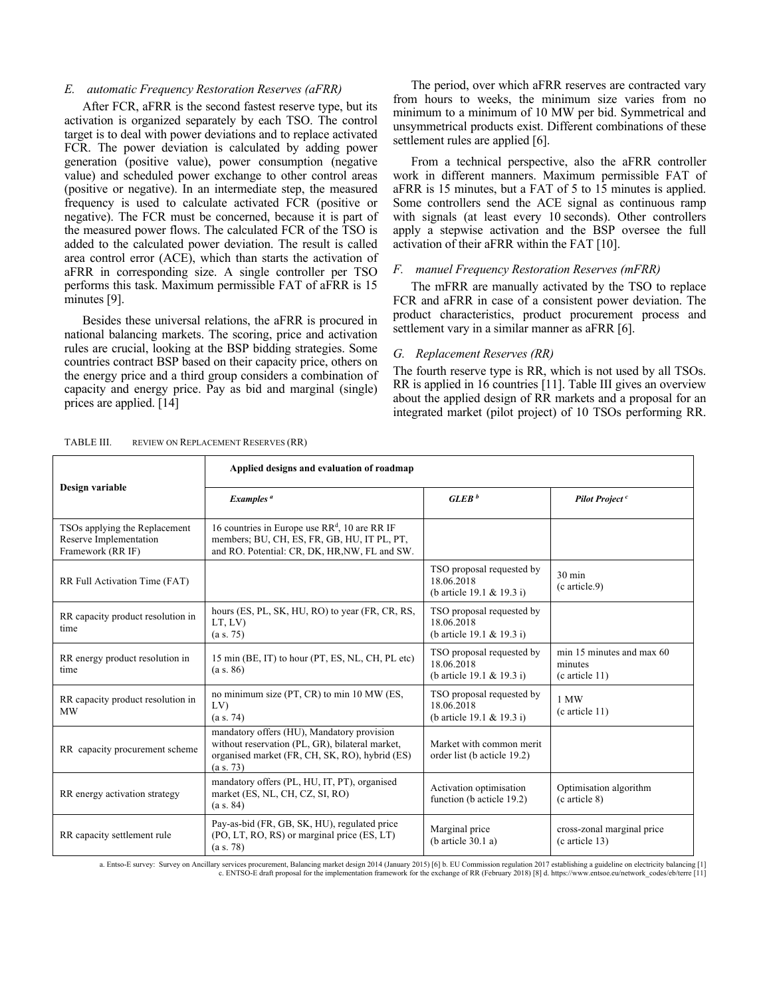# *E. automatic Frequency Restoration Reserves (aFRR)*

After FCR, aFRR is the second fastest reserve type, but its activation is organized separately by each TSO. The control target is to deal with power deviations and to replace activated FCR. The power deviation is calculated by adding power generation (positive value), power consumption (negative value) and scheduled power exchange to other control areas (positive or negative). In an intermediate step, the measured frequency is used to calculate activated FCR (positive or negative). The FCR must be concerned, because it is part of the measured power flows. The calculated FCR of the TSO is added to the calculated power deviation. The result is called area control error (ACE), which than starts the activation of aFRR in corresponding size. A single controller per TSO performs this task. Maximum permissible FAT of aFRR is 15 minutes [9].

Besides these universal relations, the aFRR is procured in national balancing markets. The scoring, price and activation rules are crucial, looking at the BSP bidding strategies. Some countries contract BSP based on their capacity price, others on the energy price and a third group considers a combination of capacity and energy price. Pay as bid and marginal (single) prices are applied. [14]

The period, over which aFRR reserves are contracted vary from hours to weeks, the minimum size varies from no minimum to a minimum of 10 MW per bid. Symmetrical and unsymmetrical products exist. Different combinations of these settlement rules are applied [6].

From a technical perspective, also the aFRR controller work in different manners. Maximum permissible FAT of aFRR is 15 minutes, but a FAT of 5 to 15 minutes is applied. Some controllers send the ACE signal as continuous ramp with signals (at least every 10 seconds). Other controllers apply a stepwise activation and the BSP oversee the full activation of their aFRR within the FAT [10].

# *F. manuel Frequency Restoration Reserves (mFRR)*

The mFRR are manually activated by the TSO to replace FCR and aFRR in case of a consistent power deviation. The product characteristics, product procurement process and settlement vary in a similar manner as aFRR [6].

# *G. Replacement Reserves (RR)*

The fourth reserve type is RR, which is not used by all TSOs. RR is applied in 16 countries [11]. Table III gives an overview about the applied design of RR markets and a proposal for an integrated market (pilot project) of 10 TSOs performing RR.

| TABLE III. | REVIEW ON REPLACEMENT RESERVES (RR) |  |
|------------|-------------------------------------|--|
|------------|-------------------------------------|--|

|                                                                              | Applied designs and evaluation of roadmap                                                                                                                    |                                                                      |                                                                   |  |
|------------------------------------------------------------------------------|--------------------------------------------------------------------------------------------------------------------------------------------------------------|----------------------------------------------------------------------|-------------------------------------------------------------------|--|
| Design variable                                                              | Examples <sup>a</sup>                                                                                                                                        | GLEB <sup>b</sup>                                                    | Pilot Project <sup>c</sup>                                        |  |
| TSOs applying the Replacement<br>Reserve Implementation<br>Framework (RR IF) | 16 countries in Europe use $RRd$ , 10 are RR IF<br>members; BU, CH, ES, FR, GB, HU, IT PL, PT,<br>and RO. Potential: CR, DK, HR, NW, FL and SW.              |                                                                      |                                                                   |  |
| RR Full Activation Time (FAT)                                                |                                                                                                                                                              | TSO proposal requested by<br>18.06.2018<br>(b article 19.1 & 19.3 i) | $30 \text{ min}$<br>(c article.9)                                 |  |
| RR capacity product resolution in<br>time                                    | hours (ES, PL, SK, HU, RO) to year (FR, CR, RS,<br>LT, LV<br>(a s. 75)                                                                                       | TSO proposal requested by<br>18.06.2018<br>(b article 19.1 & 19.3 i) |                                                                   |  |
| RR energy product resolution in<br>time                                      | 15 min (BE, IT) to hour (PT, ES, NL, CH, PL etc)<br>(a s. 86)                                                                                                | TSO proposal requested by<br>18.06.2018<br>(b article 19.1 & 19.3 i) | min 15 minutes and max 60<br>minutes<br>$(c \text{ article } 11)$ |  |
| RR capacity product resolution in<br>MW                                      | no minimum size (PT, CR) to min 10 MW (ES,<br>$LV$ )<br>(a s. 74)                                                                                            | TSO proposal requested by<br>18.06.2018<br>(b article 19.1 & 19.3 i) | 1 MW<br>$(c \text{ article } 11)$                                 |  |
| RR capacity procurement scheme                                               | mandatory offers (HU), Mandatory provision<br>without reservation (PL, GR), bilateral market,<br>organised market (FR, CH, SK, RO), hybrid (ES)<br>(a s. 73) | Market with common merit<br>order list (b acticle 19.2)              |                                                                   |  |
| RR energy activation strategy                                                | mandatory offers (PL, HU, IT, PT), organised<br>market (ES, NL, CH, CZ, SI, RO)<br>(a s. 84)                                                                 | Activation optimisation<br>function (b acticle 19.2)                 | Optimisation algorithm<br>$(c \text{ article } 8)$                |  |
| RR capacity settlement rule                                                  | Pay-as-bid (FR, GB, SK, HU), regulated price<br>(PO, LT, RO, RS) or marginal price (ES, LT)<br>(a s. 78)                                                     | Marginal price<br>( $b$ article 30.1 a)                              | cross-zonal marginal price<br>$(c \text{ article } 13)$           |  |

a. Entso-E survey: Survey on Ancillary services procurement, Balancing market design 2014 (January 2015) [6] b. EU Commission regulation 2017 establishing a guideline on electricity balancing [1] c. ENTSO-E draft proposal for the implementation framework for the exchange of RR (February 2018) [8] d. https://www.entsoe.eu/network\_codes/eb/terre [11]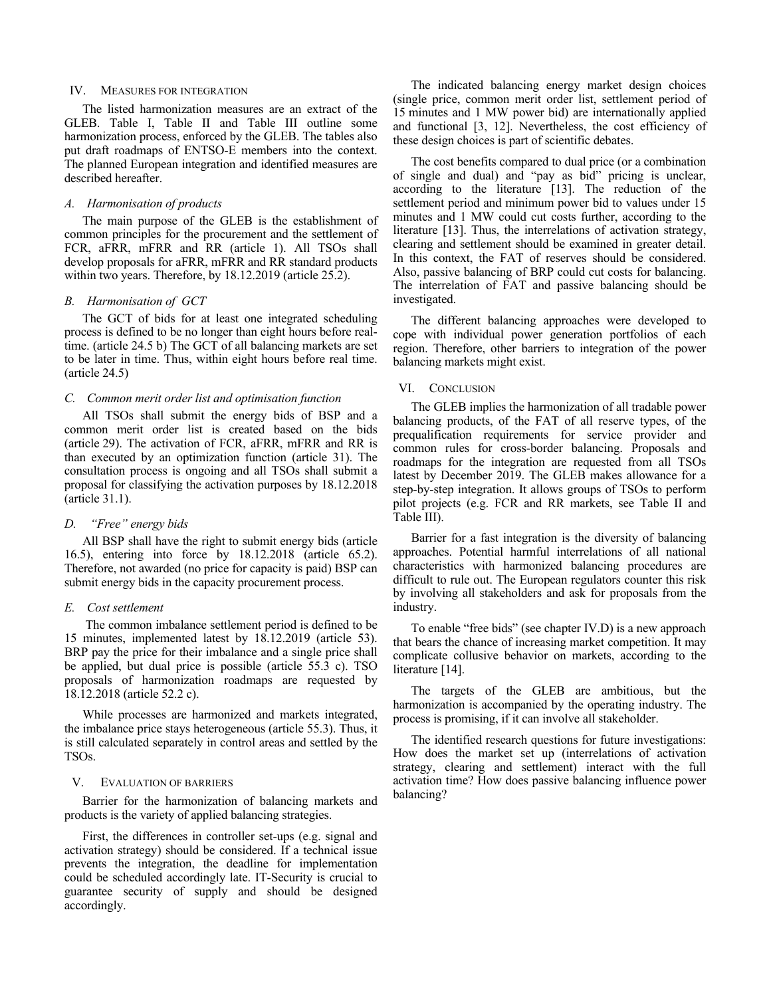## IV. MEASURES FOR INTEGRATION

The listed harmonization measures are an extract of the GLEB. Table I, Table II and Table III outline some harmonization process, enforced by the GLEB. The tables also put draft roadmaps of ENTSO-E members into the context. The planned European integration and identified measures are described hereafter.

#### *A. Harmonisation of products*

The main purpose of the GLEB is the establishment of common principles for the procurement and the settlement of FCR, aFRR, mFRR and RR (article 1). All TSOs shall develop proposals for aFRR, mFRR and RR standard products within two years. Therefore, by 18.12.2019 (article 25.2).

# *B. Harmonisation of GCT*

The GCT of bids for at least one integrated scheduling process is defined to be no longer than eight hours before realtime. (article 24.5 b) The GCT of all balancing markets are set to be later in time. Thus, within eight hours before real time. (article 24.5)

# *C. Common merit order list and optimisation function*

All TSOs shall submit the energy bids of BSP and a common merit order list is created based on the bids (article 29). The activation of FCR, aFRR, mFRR and RR is than executed by an optimization function (article 31). The consultation process is ongoing and all TSOs shall submit a proposal for classifying the activation purposes by 18.12.2018 (article 31.1).

### *D. "Free" energy bids*

All BSP shall have the right to submit energy bids (article 16.5), entering into force by 18.12.2018 (article 65.2). Therefore, not awarded (no price for capacity is paid) BSP can submit energy bids in the capacity procurement process.

# *E. Cost settlement*

The common imbalance settlement period is defined to be 15 minutes, implemented latest by 18.12.2019 (article 53). BRP pay the price for their imbalance and a single price shall be applied, but dual price is possible (article 55.3 c). TSO proposals of harmonization roadmaps are requested by 18.12.2018 (article 52.2 c).

While processes are harmonized and markets integrated, the imbalance price stays heterogeneous (article 55.3). Thus, it is still calculated separately in control areas and settled by the TSOs.

# V. EVALUATION OF BARRIERS

Barrier for the harmonization of balancing markets and products is the variety of applied balancing strategies.

First, the differences in controller set-ups (e.g. signal and activation strategy) should be considered. If a technical issue prevents the integration, the deadline for implementation could be scheduled accordingly late. IT-Security is crucial to guarantee security of supply and should be designed accordingly.

The indicated balancing energy market design choices (single price, common merit order list, settlement period of 15 minutes and 1 MW power bid) are internationally applied and functional [3, 12]. Nevertheless, the cost efficiency of these design choices is part of scientific debates.

The cost benefits compared to dual price (or a combination of single and dual) and "pay as bid" pricing is unclear, according to the literature [13]. The reduction of the settlement period and minimum power bid to values under 15 minutes and 1 MW could cut costs further, according to the literature [13]. Thus, the interrelations of activation strategy, clearing and settlement should be examined in greater detail. In this context, the FAT of reserves should be considered. Also, passive balancing of BRP could cut costs for balancing. The interrelation of FAT and passive balancing should be investigated.

The different balancing approaches were developed to cope with individual power generation portfolios of each region. Therefore, other barriers to integration of the power balancing markets might exist.

## VI. CONCLUSION

The GLEB implies the harmonization of all tradable power balancing products, of the FAT of all reserve types, of the prequalification requirements for service provider and common rules for cross-border balancing. Proposals and roadmaps for the integration are requested from all TSOs latest by December 2019. The GLEB makes allowance for a step-by-step integration. It allows groups of TSOs to perform pilot projects (e.g. FCR and RR markets, see Table II and Table III).

Barrier for a fast integration is the diversity of balancing approaches. Potential harmful interrelations of all national characteristics with harmonized balancing procedures are difficult to rule out. The European regulators counter this risk by involving all stakeholders and ask for proposals from the industry.

To enable "free bids" (see chapter IV.D) is a new approach that bears the chance of increasing market competition. It may complicate collusive behavior on markets, according to the literature [14].

The targets of the GLEB are ambitious, but the harmonization is accompanied by the operating industry. The process is promising, if it can involve all stakeholder.

The identified research questions for future investigations: How does the market set up (interrelations of activation strategy, clearing and settlement) interact with the full activation time? How does passive balancing influence power balancing?